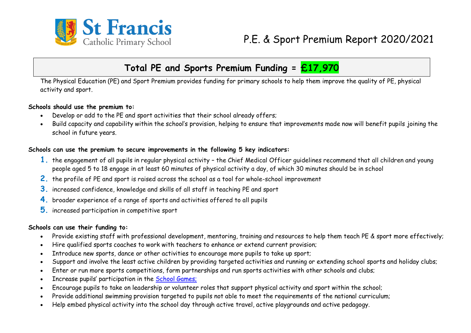

## **Total PE and Sports Premium Funding = £17,970**

The Physical Education (PE) and Sport Premium provides funding for primary schools to help them improve the quality of PE, physical activity and sport.

#### **Schools should use the premium to:**

- Develop or add to the PE and sport activities that their school already offers;
- Build capacity and capability within the school's provision, helping to ensure that improvements made now will benefit pupils joining the school in future years.

### **Schools can use the premium to secure improvements in the following 5 key indicators:**

- **1.** the engagement of all pupils in regular physical activity the Chief Medical Officer guidelines recommend that all children and young people aged 5 to 18 engage in at least 60 minutes of physical activity a day, of which 30 minutes should be in school
- **2.** the profile of PE and sport is raised across the school as a tool for whole-school improvement
- **3.** increased confidence, knowledge and skills of all staff in teaching PE and sport
- **4.** broader experience of a range of sports and activities offered to all pupils
- **5.** increased participation in competitive sport

### **Schools can use their funding to:**

- Provide existing staff with professional development, mentoring, training and resources to help them teach PE & sport more effectively;
- Hire qualified sports coaches to work with teachers to enhance or extend current provision;
- Introduce new sports, dance or other activities to encourage more pupils to take up sport;
- Support and involve the least active children by providing targeted activities and running or extending school sports and holiday clubs;
- Enter or run more sports competitions, form partnerships and run sports activities with other schools and clubs;
- Increase pupils' participation in the [School Games;](mhtml:file://C:/Users/burgesse/AppData/Local/Microsoft/Windows/Temporary%20Internet%20Files/Content.Outlook/CBBIRIXX/PE%20and%20Sport%20Premium%20for%20primary%20schools%20London%20Sport.mht!https://www.gov.uk/government/policies/getting-more-people-playing-sport/supporting-pages/the-school-games)
- Encourage pupils to take on leadership or volunteer roles that support physical activity and sport within the school;
- Provide additional swimming provision targeted to pupils not able to meet the requirements of the national curriculum;
- Help embed physical activity into the school day through active travel, active playgrounds and active pedagogy.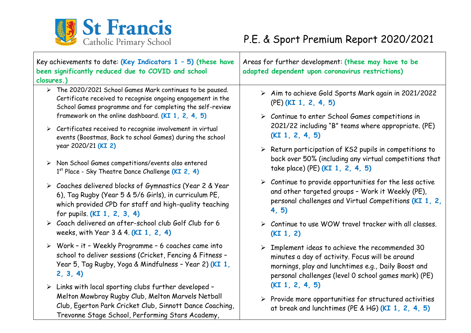

| Key achievements to date: (Key Indicators $1 - 5$ ) (these have<br>been significantly reduced due to COVID and school<br>closures.) |                                                                                                                                                                                                                                           | Areas for further development: (these may have to be<br>adapted dependent upon coronavirus restrictions)                                                                                                                                 |  |  |
|-------------------------------------------------------------------------------------------------------------------------------------|-------------------------------------------------------------------------------------------------------------------------------------------------------------------------------------------------------------------------------------------|------------------------------------------------------------------------------------------------------------------------------------------------------------------------------------------------------------------------------------------|--|--|
|                                                                                                                                     | > The 2020/2021 School Games Mark continues to be paused.<br>Certificate received to recognise ongoing engagement in the<br>School Games programme and for completing the self-review                                                     | > Aim to achieve Gold Sports Mark again in 2021/2022<br>$(PE)$ (KI 1, 2, 4, 5)                                                                                                                                                           |  |  |
|                                                                                                                                     | framework on the online dashboard (KI 1, 2, 4, 5)<br>$\triangleright$ Certificates received to recognise involvement in virtual<br>events (Boostmas, Back to school Games) during the school                                              | $\triangleright$ Continue to enter School Games competitions in<br>2021/22 including "B" teams where appropriate. (PE)<br>(KI 1, 2, 4, 5)                                                                                                |  |  |
|                                                                                                                                     | year 2020/21 (KI 2)<br>> Non School Games competitions/events also entered<br>1st Place - Sky Theatre Dance Challenge (KI 2, 4)                                                                                                           | $\triangleright$ Return participation of KS2 pupils in competitions to<br>back over 50% (including any virtual competitions that<br>take place) (PE) (KI 1, 2, 4, 5)                                                                     |  |  |
|                                                                                                                                     | > Coaches delivered blocks of Gymnastics (Year 2 & Year<br>6), Tag Rugby (Year 5 & 5/6 Girls), in curriculum PE,<br>which provided CPD for staff and high-quality teaching<br>for pupils. (KI 1, 2, 3, 4)                                 | $\triangleright$ Continue to provide opportunities for the less active<br>and other targeted groups - Work it Weekly (PE),<br>personal challenges and Virtual Competitions (KI 1, 2,<br>4, 5)                                            |  |  |
|                                                                                                                                     | $\triangleright$ Coach delivered an after-school club Golf Club for 6<br>weeks, with Year 3 & 4. (KI 1, 2, 4)                                                                                                                             | $\triangleright$ Continue to use WOW travel tracker with all classes.<br>(KI 1, 2)                                                                                                                                                       |  |  |
|                                                                                                                                     | > Work - it - Weekly Programme - 6 coaches came into<br>school to deliver sessions (Cricket, Fencing & Fitness -<br>Year 5, Tag Rugby, Yoga & Mindfulness - Year 2) (KI 1,<br>2, 3, 4                                                     | Implement ideas to achieve the recommended 30<br>$\blacktriangleright$<br>minutes a day of activity. Focus will be around<br>mornings, play and lunchtimes e.g., Daily Boost and<br>personal challenges (level 0 school games mark) (PE) |  |  |
|                                                                                                                                     | $\triangleright$ Links with local sporting clubs further developed -<br>Melton Mowbray Rugby Club, Melton Marvels Netball<br>Club, Egerton Park Cricket Club, Sinnott Dance Coaching,<br>Trevonne Stage School, Performing Stars Academy, | (KI 1, 2, 4, 5)<br>$\triangleright$ Provide more opportunities for structured activities<br>at break and lunchtimes (PE & HG) (KI 1, 2, 4, 5)                                                                                            |  |  |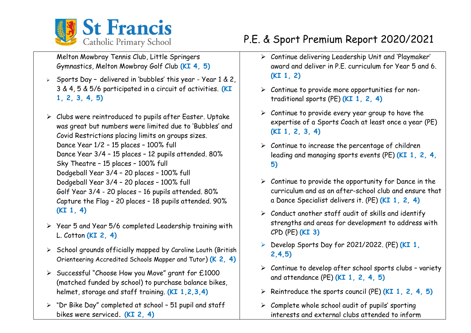

Melton Mowbray Tennis Club, Little Springers Gymnastics, Melton Mowbray Golf Club **(KI 4, 5)**

- ➢ Sports Day **–** delivered in 'bubbles' this year Year 1 & 2, 3 & 4, 5 & 5/6 participated in a circuit of activities. **(KI 1, 2, 3, 4, 5)**
- ➢ Clubs were reintroduced to pupils after Easter. Uptake was great but numbers were limited due to 'Bubbles' and Covid Restrictions placing limits on groups sizes. Dance Year 1/2 – 15 places – 100% full Dance Year 3/4 – 15 places – 12 pupils attended. 80% Sky Theatre – 15 places – 100% full Dodgeball Year 3/4 – 20 places – 100% full Dodgeball Year 3/4 – 20 places – 100% full Golf Year 3/4 - 20 places – 16 pupils attended. 80% Capture the Flag – 20 places – 18 pupils attended. 90% **(KI 1, 4)**
- ➢ Year 5 and Year 5/6 completed Leadership training with L. Cotton **(KI 2, 4)**
- ➢ School grounds officially mapped by Caroline Louth (British Orienteering Accredited Schools Mapper and Tutor) **(K 2, 4)**
- ➢ Successful "Choose How you Move" grant for £1000 (matched funded by school) to purchase balance bikes, helmet, storage and staff training. **(KI 1,2,3,4)**
- ➢ "Dr Bike Day" completed at school 51 pupil and staff bikes were serviced**. (KI 2, 4)**

# P.E. & Sport Premium Report 2020/2021

- ➢ Continue delivering Leadership Unit and 'Playmaker' award and deliver in P.E. curriculum for Year 5 and 6. **(KI 1, 2)**
- ➢ Continue to provide more opportunities for nontraditional sports (PE) **(KI 1, 2, 4)**
- $\triangleright$  Continue to provide every year group to have the expertise of a Sports Coach at least once a year (PE) **(KI 1, 2, 3, 4)**
- $\triangleright$  Continue to increase the percentage of children leading and managing sports events (PE) **(KI 1, 2, 4, 5)**
- $\triangleright$  Continue to provide the opportunity for Dance in the curriculum and as an after-school club and ensure that a Dance Specialist delivers it. (PE) **(KI 1, 2, 4)**
- $\triangleright$  Conduct another staff audit of skills and identify strengths and areas for development to address with CPD (PE) **(KI 3)**
- ➢ Develop Sports Day for 2021/2022. (PE) **(KI 1, 2,4,5)**
- ➢ Continue to develop after school sports clubs variety and attendance (PE) **(KI 1, 2, 4, 5)**
- ➢ Reintroduce the sports council (PE) **(KI 1, 2, 4, 5)**
- $\triangleright$  Complete whole school audit of pupils' sporting interests and external clubs attended to inform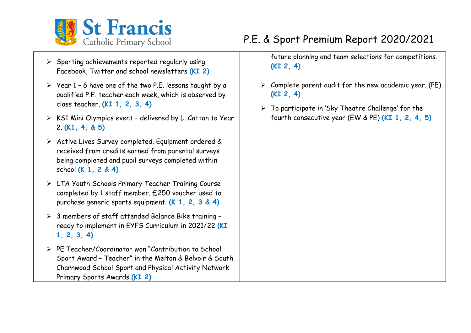

- ➢ Sporting achievements reported regularly using Facebook, Twitter and school newsletters **(KI 2)**
- ➢ Year 1 6 have one of the two P.E. lessons taught by a qualified P.E. teacher each week, which is observed by class teacher. **(KI 1, 2, 3, 4)**
- ➢ KS1 Mini Olympics event delivered by L. Cotton to Year 2. **(K1, 4, & 5)**
- ➢ Active Lives Survey completed. Equipment ordered & received from credits earned from parental surveys being completed and pupil surveys completed within school **(K 1, 2 & 4)**
- ➢ LTA Youth Schools Primary Teacher Training Course completed by 1 staff member. £250 voucher used to purchase generic sports equipment. **(K 1, 2, 3 & 4)**
- ➢ 3 members of staff attended Balance Bike training ready to implement in EYFS Curriculum in 2021/22 **(KI 1, 2, 3, 4)**
- ➢ PE Teacher/Coordinator won "Contribution to School Sport Award – Teacher" in the Melton & Belvoir & South Charnwood School Sport and Physical Activity Network Primary Sports Awards **(KI 2)**

# P.E. & Sport Premium Report 2020/2021

future planning and team selections for competitions. **(KI 2, 4)**

- $\triangleright$  Complete parent audit for the new academic year. (PE) **(KI 2, 4)**
- ➢ To participate in 'Sky Theatre Challenge' for the fourth consecutive year (EW & PE) **(KI 1, 2, 4, 5)**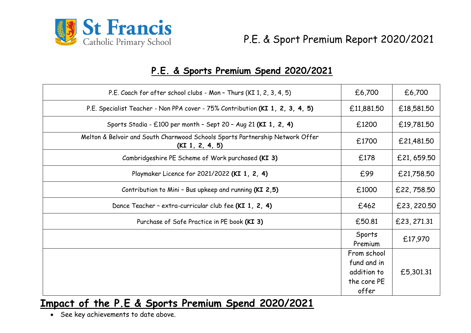

### **P.E. & Sports Premium Spend 2020/2021**

| P.E. Coach for after school clubs - Mon - Thurs (KI 1, 2, 3, 4, 5)                               | £6,700            | £6,700      |
|--------------------------------------------------------------------------------------------------|-------------------|-------------|
| P.E. Specialist Teacher - Non PPA cover - 75% Contribution (KI 1, 2, 3, 4, 5)                    | £11,881.50        | £18,581,50  |
| Sports Stadia - £100 per month - Sept 20 - Aug 21 (KI 1, 2, 4)                                   | £1200             | £19,781.50  |
| Melton & Belvoir and South Charnwood Schools Sports Partnership Network Offer<br>(KI 1, 2, 4, 5) | £1700             | £21,481.50  |
| Cambridgeshire PE Scheme of Work purchased (KI 3)                                                | £178              | £21,659.50  |
| Playmaker Licence for 2021/2022 (KI 1, 2, 4)                                                     | £99               | £21,758.50  |
| Contribution to Mini - Bus upkeep and running (KI 2,5)                                           | £1000             | £22,758.50  |
| Dance Teacher - extra-curricular club fee (KI 1, 2, 4)                                           | £462              | £23,220.50  |
| Purchase of Safe Practice in PE book (KI 3)                                                      | £50.81            | £23, 271.31 |
|                                                                                                  | Sports<br>Premium | £17,970     |
|                                                                                                  | From school       |             |
|                                                                                                  | fund and in       |             |
|                                                                                                  | addition to       | £5,301.31   |
|                                                                                                  | the core PE       |             |
|                                                                                                  | offer             |             |

### **Impact of the P.E & Sports Premium Spend 2020/2021**

• See key achievements to date above.